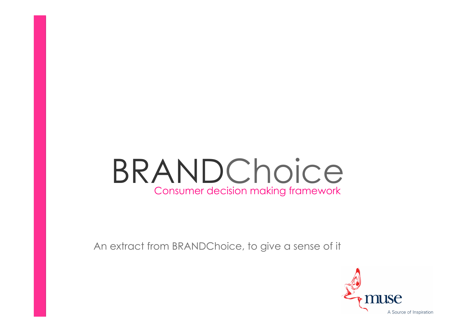# BRANDChoice Consumer decision making framework

An extract from BRANDChoice, to give a sense of it

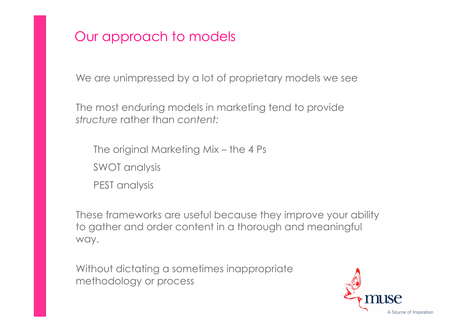# Our approach to models

We are unimpressed by a lot of proprietary models we see

The most enduring models in marketing tend to provide *structure* rather than *content:*

The original Marketing Mix – the 4 Ps SWOT analysis PEST analysis

These frameworks are useful because they improve your ability to gather and order content in a thorough and meaningful way.

Without dictating a sometimes inappropriate methodology or process

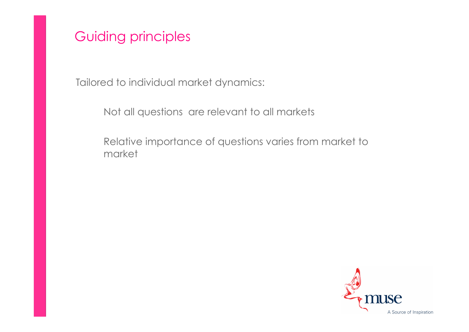Guiding principles

Tailored to individual market dynamics:

Not all questions are relevant to all markets

 Relative importance of questions varies from market to market

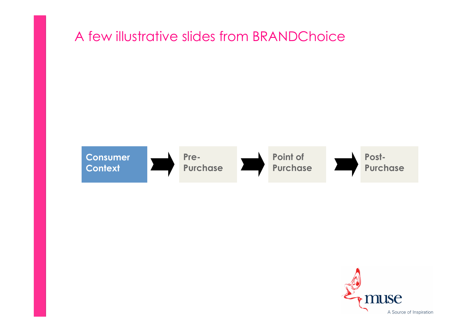# A few illustrative slides from BRANDChoice



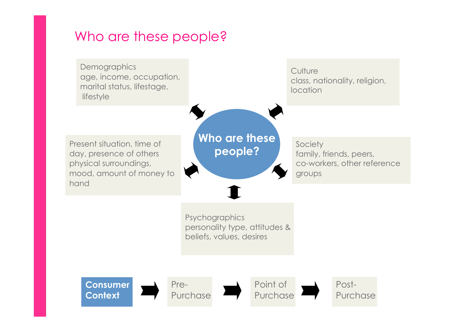### Who are these people?

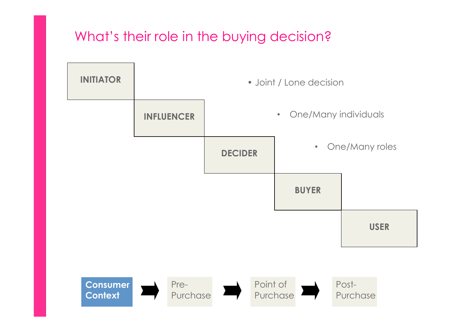# What's their role in the buying decision?

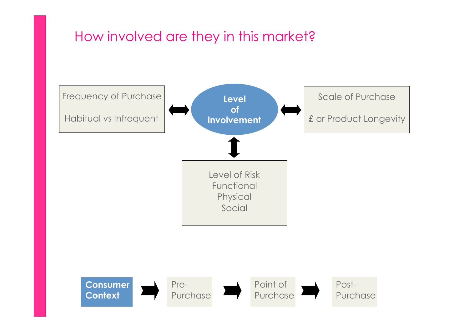# How involved are they in this market?

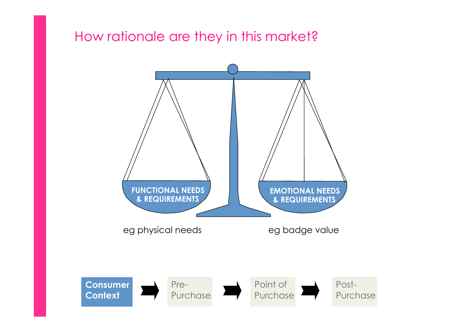#### How rationale are they in this market?

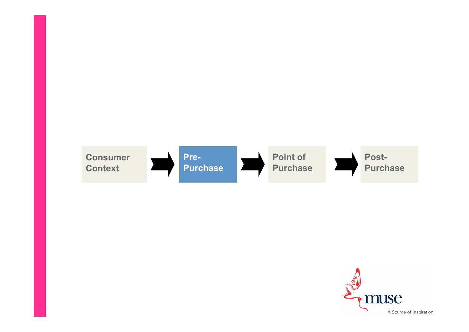